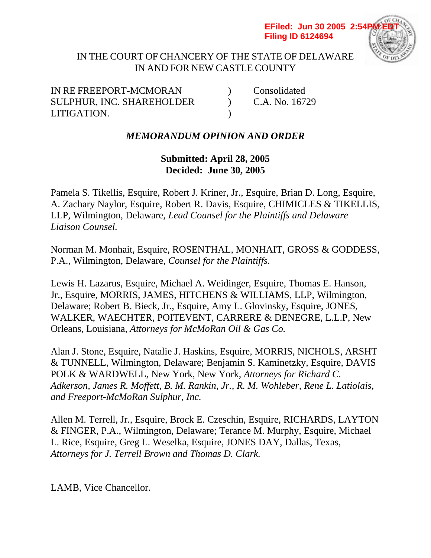#### **EFiled: Jun 30 2005 2:54P Filing ID 6124694**



## IN THE COURT OF CHANCERY OF THE STATE OF DELAWARE IN AND FOR NEW CASTLE COUNTY

IN RE FREEPORT-MCMORAN (Consolidated SULPHUR, INC. SHAREHOLDER (C.A. No. 16729) LITIGATION. )

# *MEMORANDUM OPINION AND ORDER*

**Submitted: April 28, 2005 Decided: June 30, 2005**

Pamela S. Tikellis, Esquire, Robert J. Kriner, Jr., Esquire, Brian D. Long, Esquire, A. Zachary Naylor, Esquire, Robert R. Davis, Esquire, CHIMICLES & TIKELLIS, LLP, Wilmington, Delaware, *Lead Counsel for the Plaintiffs and Delaware Liaison Counsel.*

Norman M. Monhait, Esquire, ROSENTHAL, MONHAIT, GROSS & GODDESS, P.A., Wilmington, Delaware, *Counsel for the Plaintiffs.*

Lewis H. Lazarus, Esquire, Michael A. Weidinger, Esquire, Thomas E. Hanson, Jr., Esquire, MORRIS, JAMES, HITCHENS & WILLIAMS, LLP, Wilmington, Delaware; Robert B. Bieck, Jr., Esquire, Amy L. Glovinsky, Esquire, JONES, WALKER, WAECHTER, POITEVENT, CARRERE & DENEGRE, L.L.P, New Orleans, Louisiana, *Attorneys for McMoRan Oil & Gas Co.*

Alan J. Stone, Esquire, Natalie J. Haskins, Esquire, MORRIS, NICHOLS, ARSHT & TUNNELL, Wilmington, Delaware; Benjamin S. Kaminetzky, Esquire, DAVIS POLK & WARDWELL, New York, New York, *Attorneys for Richard C. Adkerson, James R. Moffett, B. M. Rankin, Jr., R. M. Wohleber, Rene L. Latiolais, and Freeport-McMoRan Sulphur, Inc.*

Allen M. Terrell, Jr., Esquire, Brock E. Czeschin, Esquire, RICHARDS, LAYTON & FINGER, P.A., Wilmington, Delaware; Terance M. Murphy, Esquire, Michael L. Rice, Esquire, Greg L. Weselka, Esquire, JONES DAY, Dallas, Texas, *Attorneys for J. Terrell Brown and Thomas D. Clark.*

LAMB, Vice Chancellor.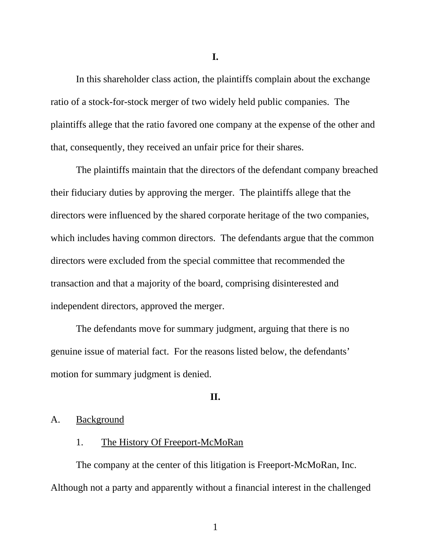**I.**

In this shareholder class action, the plaintiffs complain about the exchange ratio of a stock-for-stock merger of two widely held public companies. The plaintiffs allege that the ratio favored one company at the expense of the other and that, consequently, they received an unfair price for their shares.

The plaintiffs maintain that the directors of the defendant company breached their fiduciary duties by approving the merger. The plaintiffs allege that the directors were influenced by the shared corporate heritage of the two companies, which includes having common directors. The defendants argue that the common directors were excluded from the special committee that recommended the transaction and that a majority of the board, comprising disinterested and independent directors, approved the merger.

The defendants move for summary judgment, arguing that there is no genuine issue of material fact. For the reasons listed below, the defendants' motion for summary judgment is denied.

### **II.**

## A. Background

## 1. The History Of Freeport-McMoRan

The company at the center of this litigation is Freeport-McMoRan, Inc. Although not a party and apparently without a financial interest in the challenged

1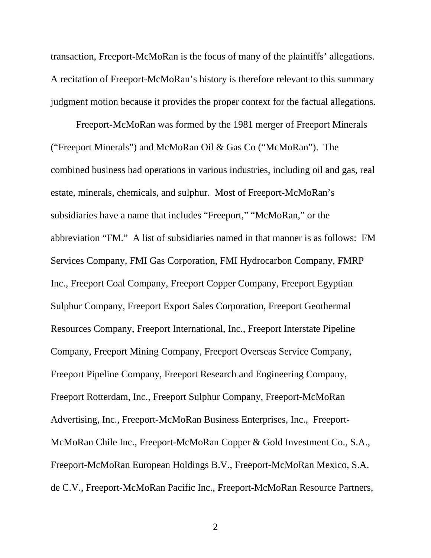transaction, Freeport-McMoRan is the focus of many of the plaintiffs' allegations. A recitation of Freeport-McMoRan's history is therefore relevant to this summary judgment motion because it provides the proper context for the factual allegations.

Freeport-McMoRan was formed by the 1981 merger of Freeport Minerals ("Freeport Minerals") and McMoRan Oil & Gas Co ("McMoRan"). The combined business had operations in various industries, including oil and gas, real estate, minerals, chemicals, and sulphur. Most of Freeport-McMoRan's subsidiaries have a name that includes "Freeport," "McMoRan," or the abbreviation "FM." A list of subsidiaries named in that manner is as follows: FM Services Company, FMI Gas Corporation, FMI Hydrocarbon Company, FMRP Inc., Freeport Coal Company, Freeport Copper Company, Freeport Egyptian Sulphur Company, Freeport Export Sales Corporation, Freeport Geothermal Resources Company, Freeport International, Inc., Freeport Interstate Pipeline Company, Freeport Mining Company, Freeport Overseas Service Company, Freeport Pipeline Company, Freeport Research and Engineering Company, Freeport Rotterdam, Inc., Freeport Sulphur Company, Freeport-McMoRan Advertising, Inc., Freeport-McMoRan Business Enterprises, Inc., Freeport-McMoRan Chile Inc., Freeport-McMoRan Copper & Gold Investment Co., S.A., Freeport-McMoRan European Holdings B.V., Freeport-McMoRan Mexico, S.A. de C.V., Freeport-McMoRan Pacific Inc., Freeport-McMoRan Resource Partners,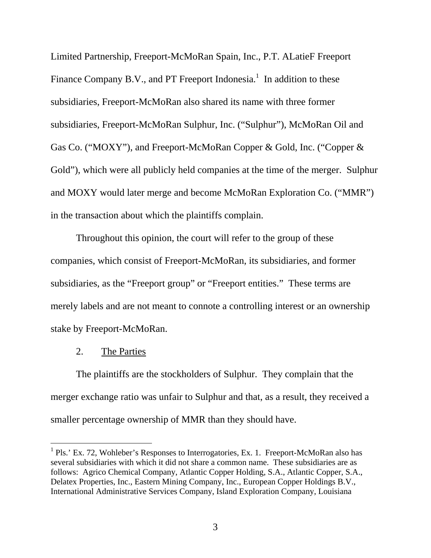Limited Partnership, Freeport-McMoRan Spain, Inc., P.T. ALatieF Freeport Finance Company B.V., and PT Freeport Indonesia.<sup>1</sup> In addition to these subsidiaries, Freeport-McMoRan also shared its name with three former subsidiaries, Freeport-McMoRan Sulphur, Inc. ("Sulphur"), McMoRan Oil and Gas Co. ("MOXY"), and Freeport-McMoRan Copper & Gold, Inc. ("Copper & Gold"), which were all publicly held companies at the time of the merger. Sulphur and MOXY would later merge and become McMoRan Exploration Co. ("MMR") in the transaction about which the plaintiffs complain.

Throughout this opinion, the court will refer to the group of these companies, which consist of Freeport-McMoRan, its subsidiaries, and former subsidiaries, as the "Freeport group" or "Freeport entities." These terms are merely labels and are not meant to connote a controlling interest or an ownership stake by Freeport-McMoRan.

#### 2. The Parties

 $\overline{a}$ 

The plaintiffs are the stockholders of Sulphur. They complain that the merger exchange ratio was unfair to Sulphur and that, as a result, they received a smaller percentage ownership of MMR than they should have.

<sup>&</sup>lt;sup>1</sup> Pls.' Ex. 72, Wohleber's Responses to Interrogatories, Ex. 1. Freeport-McMoRan also has several subsidiaries with which it did not share a common name. These subsidiaries are as follows: Agrico Chemical Company, Atlantic Copper Holding, S.A., Atlantic Copper, S.A., Delatex Properties, Inc., Eastern Mining Company, Inc., European Copper Holdings B.V., International Administrative Services Company, Island Exploration Company, Louisiana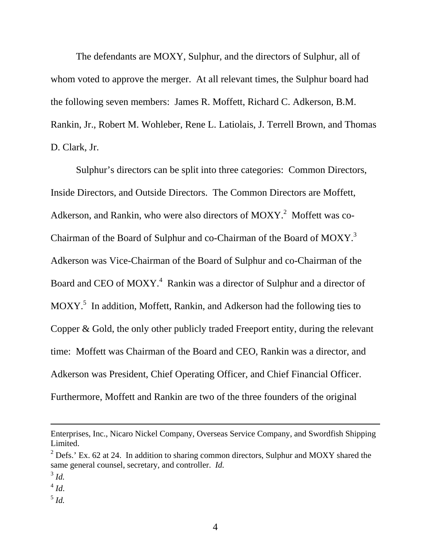The defendants are MOXY, Sulphur, and the directors of Sulphur, all of whom voted to approve the merger. At all relevant times, the Sulphur board had the following seven members: James R. Moffett, Richard C. Adkerson, B.M. Rankin, Jr., Robert M. Wohleber, Rene L. Latiolais, J. Terrell Brown, and Thomas D. Clark, Jr.

Sulphur's directors can be split into three categories: Common Directors, Inside Directors, and Outside Directors. The Common Directors are Moffett, Adkerson, and Rankin, who were also directors of MOXY.<sup>2</sup> Moffett was co-Chairman of the Board of Sulphur and co-Chairman of the Board of  $M OXY$ .<sup>3</sup> Adkerson was Vice-Chairman of the Board of Sulphur and co-Chairman of the Board and CEO of MOXY.<sup>4</sup> Rankin was a director of Sulphur and a director of  $MOXY$ <sup>5</sup> In addition, Moffett, Rankin, and Adkerson had the following ties to Copper & Gold, the only other publicly traded Freeport entity, during the relevant time: Moffett was Chairman of the Board and CEO, Rankin was a director, and Adkerson was President, Chief Operating Officer, and Chief Financial Officer. Furthermore, Moffett and Rankin are two of the three founders of the original

l

Enterprises, Inc., Nicaro Nickel Company, Overseas Service Company, and Swordfish Shipping Limited.

 $2^{2}$  Defs.' Ex. 62 at 24. In addition to sharing common directors, Sulphur and MOXY shared the same general counsel, secretary, and controller. *Id.*  $3^3$  *Id.* 

 $\int_5^4$  *Id.*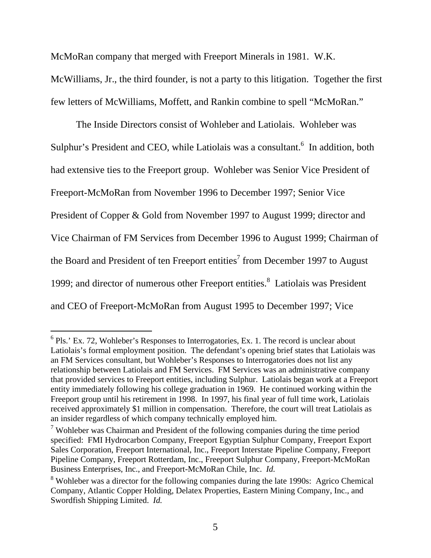McMoRan company that merged with Freeport Minerals in 1981. W.K.

McWilliams, Jr., the third founder, is not a party to this litigation. Together the first few letters of McWilliams, Moffett, and Rankin combine to spell "McMoRan."

The Inside Directors consist of Wohleber and Latiolais. Wohleber was Sulphur's President and CEO, while Latiolais was a consultant.<sup>6</sup> In addition, both had extensive ties to the Freeport group. Wohleber was Senior Vice President of Freeport-McMoRan from November 1996 to December 1997; Senior Vice President of Copper & Gold from November 1997 to August 1999; director and Vice Chairman of FM Services from December 1996 to August 1999; Chairman of the Board and President of ten Freeport entities<sup>7</sup> from December 1997 to August 1999; and director of numerous other Freeport entities.<sup>8</sup> Latiolais was President and CEO of Freeport-McMoRan from August 1995 to December 1997; Vice

l

 $6$  Pls.' Ex. 72, Wohleber's Responses to Interrogatories, Ex. 1. The record is unclear about Latiolais's formal employment position. The defendant's opening brief states that Latiolais was an FM Services consultant, but Wohleber's Responses to Interrogatories does not list any relationship between Latiolais and FM Services. FM Services was an administrative company that provided services to Freeport entities, including Sulphur. Latiolais began work at a Freeport entity immediately following his college graduation in 1969. He continued working within the Freeport group until his retirement in 1998. In 1997, his final year of full time work, Latiolais received approximately \$1 million in compensation. Therefore, the court will treat Latiolais as an insider regardless of which company technically employed him.

 $7$  Wohleber was Chairman and President of the following companies during the time period specified: FMI Hydrocarbon Company, Freeport Egyptian Sulphur Company, Freeport Export Sales Corporation, Freeport International, Inc., Freeport Interstate Pipeline Company, Freeport Pipeline Company, Freeport Rotterdam, Inc., Freeport Sulphur Company, Freeport-McMoRan Business Enterprises, Inc., and Freeport-McMoRan Chile, Inc. *Id.*

 $8$  Wohleber was a director for the following companies during the late 1990s: Agrico Chemical Company, Atlantic Copper Holding, Delatex Properties, Eastern Mining Company, Inc., and Swordfish Shipping Limited. *Id.*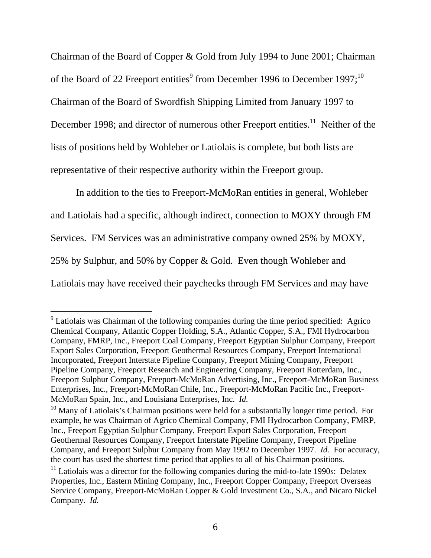Chairman of the Board of Copper & Gold from July 1994 to June 2001; Chairman of the Board of 22 Freeport entities<sup>9</sup> from December 1996 to December 1997;<sup>10</sup> Chairman of the Board of Swordfish Shipping Limited from January 1997 to December 1998; and director of numerous other Freeport entities.<sup>11</sup> Neither of the lists of positions held by Wohleber or Latiolais is complete, but both lists are representative of their respective authority within the Freeport group.

In addition to the ties to Freeport-McMoRan entities in general, Wohleber and Latiolais had a specific, although indirect, connection to MOXY through FM Services. FM Services was an administrative company owned 25% by MOXY, 25% by Sulphur, and 50% by Copper & Gold. Even though Wohleber and Latiolais may have received their paychecks through FM Services and may have

<sup>&</sup>lt;sup>9</sup> Latiolais was Chairman of the following companies during the time period specified: Agrico Chemical Company, Atlantic Copper Holding, S.A., Atlantic Copper, S.A., FMI Hydrocarbon Company, FMRP, Inc., Freeport Coal Company, Freeport Egyptian Sulphur Company, Freeport Export Sales Corporation, Freeport Geothermal Resources Company, Freeport International Incorporated, Freeport Interstate Pipeline Company, Freeport Mining Company, Freeport Pipeline Company, Freeport Research and Engineering Company, Freeport Rotterdam, Inc., Freeport Sulphur Company, Freeport-McMoRan Advertising, Inc., Freeport-McMoRan Business Enterprises, Inc., Freeport-McMoRan Chile, Inc., Freeport-McMoRan Pacific Inc., Freeport-McMoRan Spain, Inc., and Louisiana Enterprises, Inc. *Id.*

<sup>&</sup>lt;sup>10</sup> Many of Latiolais's Chairman positions were held for a substantially longer time period. For example, he was Chairman of Agrico Chemical Company, FMI Hydrocarbon Company, FMRP, Inc., Freeport Egyptian Sulphur Company, Freeport Export Sales Corporation, Freeport Geothermal Resources Company, Freeport Interstate Pipeline Company, Freeport Pipeline Company, and Freeport Sulphur Company from May 1992 to December 1997. *Id.* For accuracy, the court has used the shortest time period that applies to all of his Chairman positions.

 $11$  Latiolais was a director for the following companies during the mid-to-late 1990s: Delatex Properties, Inc., Eastern Mining Company, Inc., Freeport Copper Company, Freeport Overseas Service Company, Freeport-McMoRan Copper & Gold Investment Co., S.A., and Nicaro Nickel Company. *Id.*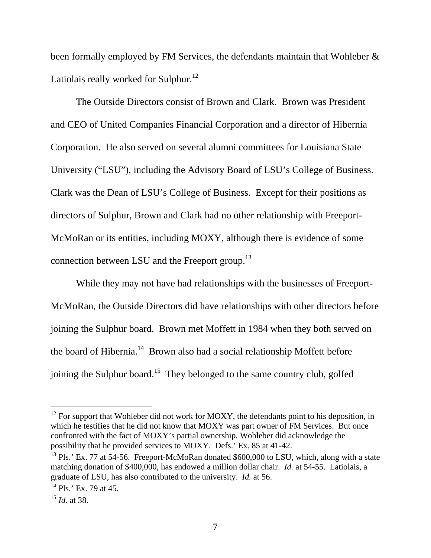been formally employed by FM Services, the defendants maintain that Wohleber & Latiolais really worked for Sulphur.<sup>12</sup>

The Outside Directors consist of Brown and Clark. Brown was President and CEO of United Companies Financial Corporation and a director of Hibernia Corporation. He also served on several alumni committees for Louisiana State University ("LSU"), including the Advisory Board of LSU's College of Business. Clark was the Dean of LSU's College of Business. Except for their positions as directors of Sulphur, Brown and Clark had no other relationship with Freeport-McMoRan or its entities, including MOXY, although there is evidence of some connection between LSU and the Freeport group.13

While they may not have had relationships with the businesses of Freeport-McMoRan, the Outside Directors did have relationships with other directors before joining the Sulphur board. Brown met Moffett in 1984 when they both served on the board of Hibernia.<sup>14</sup> Brown also had a social relationship Moffett before joining the Sulphur board.<sup>15</sup> They belonged to the same country club, golfed

 $12$  For support that Wohleber did not work for MOXY, the defendants point to his deposition, in which he testifies that he did not know that MOXY was part owner of FM Services. But once confronted with the fact of MOXY's partial ownership, Wohleber did acknowledge the possibility that he provided services to MOXY. Defs.' Ex. 85 at 41-42.

<sup>&</sup>lt;sup>13</sup> Pls.' Ex. 77 at 54-56. Freeport-McMoRan donated \$600,000 to LSU, which, along with a state matching donation of \$400,000, has endowed a million dollar chair. *Id.* at 54-55. Latiolais, a graduate of LSU, has also contributed to the university. *Id.* at 56.

 $14$  Pls.' Ex. 79 at 45.

<sup>15</sup> *Id.* at 38.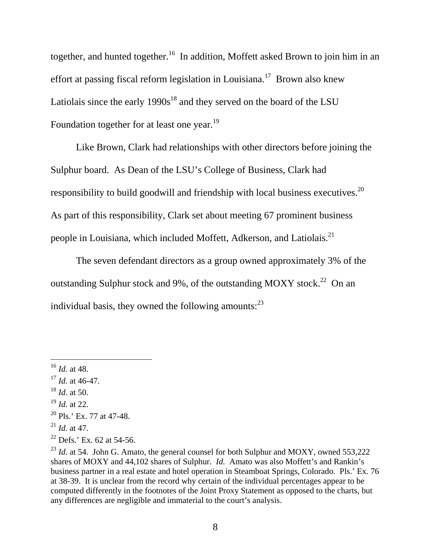together, and hunted together.<sup>16</sup> In addition, Moffett asked Brown to join him in an effort at passing fiscal reform legislation in Louisiana.<sup>17</sup> Brown also knew Latiolais since the early  $1990s^{18}$  and they served on the board of the LSU Foundation together for at least one year.<sup>19</sup>

Like Brown, Clark had relationships with other directors before joining the Sulphur board. As Dean of the LSU's College of Business, Clark had responsibility to build goodwill and friendship with local business executives.<sup>20</sup> As part of this responsibility, Clark set about meeting 67 prominent business people in Louisiana, which included Moffett, Adkerson, and Latiolais.<sup>21</sup>

The seven defendant directors as a group owned approximately 3% of the outstanding Sulphur stock and 9%, of the outstanding MOXY stock.<sup>22</sup> On an individual basis, they owned the following amounts: $^{23}$ 

-

<sup>19</sup> *Id.* at 22.

<sup>16</sup> *Id.* at 48.

<sup>17</sup> *Id.* at 46-47.

<sup>18</sup> *Id.* at 50.

 $20$  Pls.' Ex. 77 at 47-48.

<sup>21</sup> *Id.* at 47.

 $22$  Defs.' Ex. 62 at 54-56.

<sup>&</sup>lt;sup>23</sup> *Id.* at 54. John G. Amato, the general counsel for both Sulphur and MOXY, owned 553,222 shares of MOXY and 44,102 shares of Sulphur. *Id.* Amato was also Moffett's and Rankin's business partner in a real estate and hotel operation in Steamboat Springs, Colorado. Pls.' Ex. 76 at 38-39. It is unclear from the record why certain of the individual percentages appear to be computed differently in the footnotes of the Joint Proxy Statement as opposed to the charts, but any differences are negligible and immaterial to the court's analysis.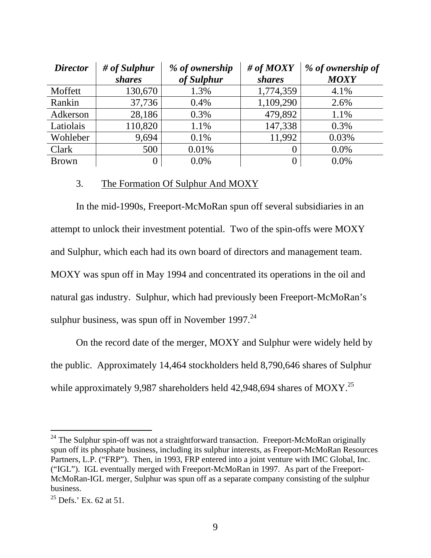| <b>Director</b> | $#$ of Sulphur<br><i>shares</i> | % of ownership<br>of Sulphur | # of $MOXY$<br><i>shares</i> | % of ownership of<br><b>MOXY</b> |
|-----------------|---------------------------------|------------------------------|------------------------------|----------------------------------|
| Moffett         | 130,670                         | 1.3%                         | 1,774,359                    | 4.1%                             |
| Rankin          | 37,736                          | 0.4%                         | 1,109,290                    | 2.6%                             |
| Adkerson        | 28,186                          | 0.3%                         | 479,892                      | 1.1%                             |
| Latiolais       | 110,820                         | 1.1%                         | 147,338                      | 0.3%                             |
| Wohleber        | 9,694                           | 0.1%                         | 11,992                       | 0.03%                            |
| Clark           | 500                             | 0.01%                        |                              | 0.0%                             |
| <b>Brown</b>    | 0                               | 0.0%                         | $\theta$                     | $0.0\%$                          |

## 3. The Formation Of Sulphur And MOXY

In the mid-1990s, Freeport-McMoRan spun off several subsidiaries in an attempt to unlock their investment potential. Two of the spin-offs were MOXY and Sulphur, which each had its own board of directors and management team. MOXY was spun off in May 1994 and concentrated its operations in the oil and natural gas industry. Sulphur, which had previously been Freeport-McMoRan's sulphur business, was spun off in November 1997. $^{24}$ 

On the record date of the merger, MOXY and Sulphur were widely held by the public. Approximately 14,464 stockholders held 8,790,646 shares of Sulphur while approximately 9,987 shareholders held 42,948,694 shares of MOXY.<sup>25</sup>

 $24$  The Sulphur spin-off was not a straightforward transaction. Freeport-McMoRan originally spun off its phosphate business, including its sulphur interests, as Freeport-McMoRan Resources Partners, L.P. ("FRP"). Then, in 1993, FRP entered into a joint venture with IMC Global, Inc. ("IGL"). IGL eventually merged with Freeport-McMoRan in 1997. As part of the Freeport-McMoRan-IGL merger, Sulphur was spun off as a separate company consisting of the sulphur business.

 $^{25}$  Defs.' Ex. 62 at 51.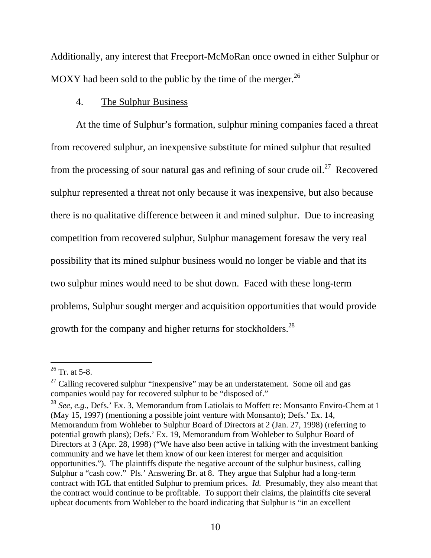Additionally, any interest that Freeport-McMoRan once owned in either Sulphur or MOXY had been sold to the public by the time of the merger.  $^{26}$ 

## 4. The Sulphur Business

At the time of Sulphur's formation, sulphur mining companies faced a threat from recovered sulphur, an inexpensive substitute for mined sulphur that resulted from the processing of sour natural gas and refining of sour crude oil.<sup>27</sup> Recovered sulphur represented a threat not only because it was inexpensive, but also because there is no qualitative difference between it and mined sulphur. Due to increasing competition from recovered sulphur, Sulphur management foresaw the very real possibility that its mined sulphur business would no longer be viable and that its two sulphur mines would need to be shut down. Faced with these long-term problems, Sulphur sought merger and acquisition opportunities that would provide growth for the company and higher returns for stockholders.<sup>28</sup>

 $26$  Tr. at 5-8.

 $27$  Calling recovered sulphur "inexpensive" may be an understatement. Some oil and gas companies would pay for recovered sulphur to be "disposed of."

<sup>28</sup> *See, e.g.*, Defs.' Ex. 3, Memorandum from Latiolais to Moffett re: Monsanto Enviro-Chem at 1 (May 15, 1997) (mentioning a possible joint venture with Monsanto); Defs.' Ex. 14, Memorandum from Wohleber to Sulphur Board of Directors at 2 (Jan. 27, 1998) (referring to potential growth plans); Defs.' Ex. 19, Memorandum from Wohleber to Sulphur Board of Directors at 3 (Apr. 28, 1998) ("We have also been active in talking with the investment banking community and we have let them know of our keen interest for merger and acquisition opportunities."). The plaintiffs dispute the negative account of the sulphur business, calling Sulphur a "cash cow." Pls.' Answering Br. at 8. They argue that Sulphur had a long-term contract with IGL that entitled Sulphur to premium prices. *Id.* Presumably, they also meant that the contract would continue to be profitable. To support their claims, the plaintiffs cite several upbeat documents from Wohleber to the board indicating that Sulphur is "in an excellent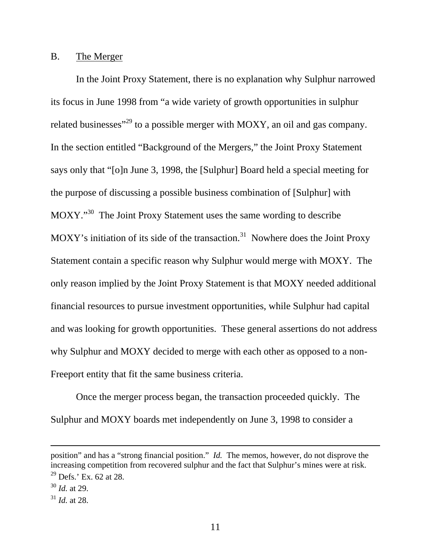### B. The Merger

In the Joint Proxy Statement, there is no explanation why Sulphur narrowed its focus in June 1998 from "a wide variety of growth opportunities in sulphur related businesses<sup>"29</sup> to a possible merger with MOXY, an oil and gas company. In the section entitled "Background of the Mergers," the Joint Proxy Statement says only that "[o]n June 3, 1998, the [Sulphur] Board held a special meeting for the purpose of discussing a possible business combination of [Sulphur] with MOXY."<sup>30</sup> The Joint Proxy Statement uses the same wording to describe MOXY's initiation of its side of the transaction.<sup>31</sup> Nowhere does the Joint Proxy Statement contain a specific reason why Sulphur would merge with MOXY. The only reason implied by the Joint Proxy Statement is that MOXY needed additional financial resources to pursue investment opportunities, while Sulphur had capital and was looking for growth opportunities. These general assertions do not address why Sulphur and MOXY decided to merge with each other as opposed to a non-Freeport entity that fit the same business criteria.

Once the merger process began, the transaction proceeded quickly. The Sulphur and MOXY boards met independently on June 3, 1998 to consider a

position" and has a "strong financial position." *Id.* The memos, however, do not disprove the increasing competition from recovered sulphur and the fact that Sulphur's mines were at risk.

<sup>29</sup> Defs.' Ex. 62 at 28.

<sup>30</sup> *Id.* at 29.

 $31$  *Id.* at 28.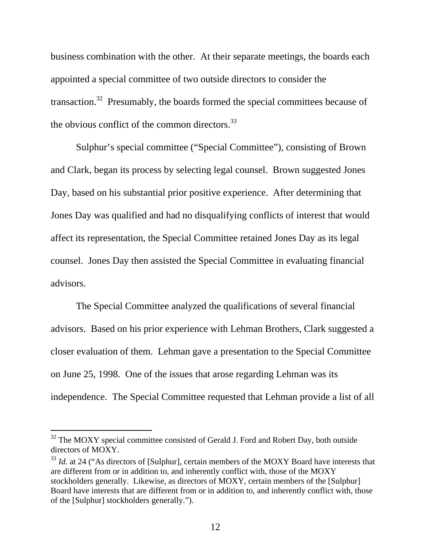business combination with the other. At their separate meetings, the boards each appointed a special committee of two outside directors to consider the transaction.<sup>32</sup> Presumably, the boards formed the special committees because of the obvious conflict of the common directors. $^{33}$ 

Sulphur's special committee ("Special Committee"), consisting of Brown and Clark, began its process by selecting legal counsel. Brown suggested Jones Day, based on his substantial prior positive experience. After determining that Jones Day was qualified and had no disqualifying conflicts of interest that would affect its representation, the Special Committee retained Jones Day as its legal counsel. Jones Day then assisted the Special Committee in evaluating financial advisors.

The Special Committee analyzed the qualifications of several financial advisors. Based on his prior experience with Lehman Brothers, Clark suggested a closer evaluation of them. Lehman gave a presentation to the Special Committee on June 25, 1998. One of the issues that arose regarding Lehman was its independence. The Special Committee requested that Lehman provide a list of all

 $32$  The MOXY special committee consisted of Gerald J. Ford and Robert Day, both outside directors of MOXY.

<sup>&</sup>lt;sup>33</sup> *Id.* at 24 ("As directors of [Sulphur], certain members of the MOXY Board have interests that are different from or in addition to, and inherently conflict with, those of the MOXY stockholders generally. Likewise, as directors of MOXY, certain members of the [Sulphur] Board have interests that are different from or in addition to, and inherently conflict with, those of the [Sulphur] stockholders generally.").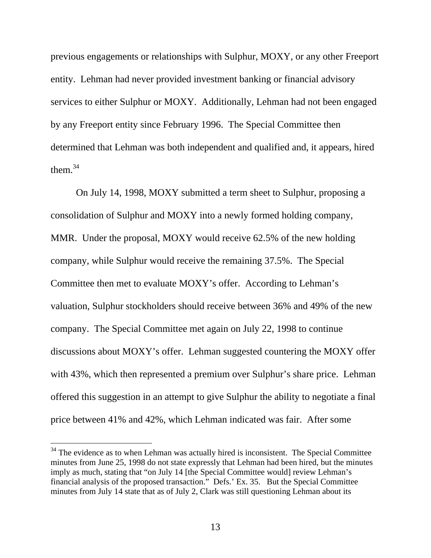previous engagements or relationships with Sulphur, MOXY, or any other Freeport entity. Lehman had never provided investment banking or financial advisory services to either Sulphur or MOXY. Additionally, Lehman had not been engaged by any Freeport entity since February 1996. The Special Committee then determined that Lehman was both independent and qualified and, it appears, hired them  $34$ 

On July 14, 1998, MOXY submitted a term sheet to Sulphur, proposing a consolidation of Sulphur and MOXY into a newly formed holding company, MMR. Under the proposal, MOXY would receive 62.5% of the new holding company, while Sulphur would receive the remaining 37.5%. The Special Committee then met to evaluate MOXY's offer. According to Lehman's valuation, Sulphur stockholders should receive between 36% and 49% of the new company. The Special Committee met again on July 22, 1998 to continue discussions about MOXY's offer. Lehman suggested countering the MOXY offer with 43%, which then represented a premium over Sulphur's share price. Lehman offered this suggestion in an attempt to give Sulphur the ability to negotiate a final price between 41% and 42%, which Lehman indicated was fair. After some

 $34$  The evidence as to when Lehman was actually hired is inconsistent. The Special Committee minutes from June 25, 1998 do not state expressly that Lehman had been hired, but the minutes imply as much, stating that "on July 14 [the Special Committee would] review Lehman's financial analysis of the proposed transaction." Defs.' Ex. 35. But the Special Committee minutes from July 14 state that as of July 2, Clark was still questioning Lehman about its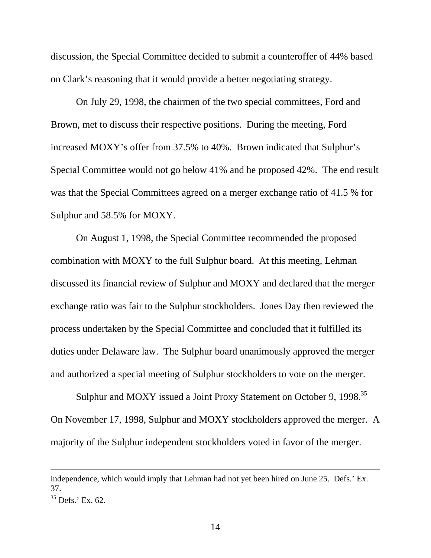discussion, the Special Committee decided to submit a counteroffer of 44% based on Clark's reasoning that it would provide a better negotiating strategy.

On July 29, 1998, the chairmen of the two special committees, Ford and Brown, met to discuss their respective positions. During the meeting, Ford increased MOXY's offer from 37.5% to 40%. Brown indicated that Sulphur's Special Committee would not go below 41% and he proposed 42%. The end result was that the Special Committees agreed on a merger exchange ratio of 41.5 % for Sulphur and 58.5% for MOXY.

On August 1, 1998, the Special Committee recommended the proposed combination with MOXY to the full Sulphur board. At this meeting, Lehman discussed its financial review of Sulphur and MOXY and declared that the merger exchange ratio was fair to the Sulphur stockholders. Jones Day then reviewed the process undertaken by the Special Committee and concluded that it fulfilled its duties under Delaware law. The Sulphur board unanimously approved the merger and authorized a special meeting of Sulphur stockholders to vote on the merger.

Sulphur and MOXY issued a Joint Proxy Statement on October 9, 1998.<sup>35</sup> On November 17, 1998, Sulphur and MOXY stockholders approved the merger. A majority of the Sulphur independent stockholders voted in favor of the merger.

independence, which would imply that Lehman had not yet been hired on June 25. Defs.' Ex. 37.

 $35$  Defs.' Ex. 62.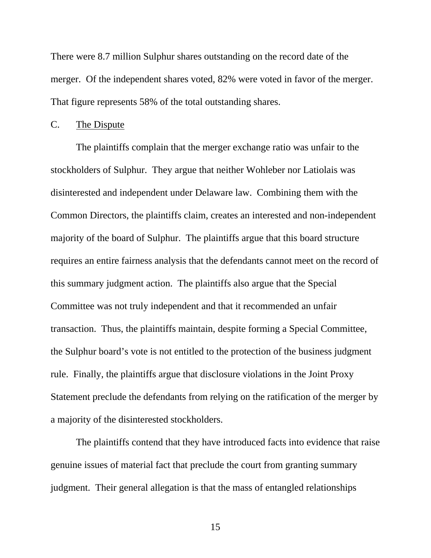There were 8.7 million Sulphur shares outstanding on the record date of the merger. Of the independent shares voted, 82% were voted in favor of the merger. That figure represents 58% of the total outstanding shares.

### C. The Dispute

The plaintiffs complain that the merger exchange ratio was unfair to the stockholders of Sulphur. They argue that neither Wohleber nor Latiolais was disinterested and independent under Delaware law. Combining them with the Common Directors, the plaintiffs claim, creates an interested and non-independent majority of the board of Sulphur. The plaintiffs argue that this board structure requires an entire fairness analysis that the defendants cannot meet on the record of this summary judgment action. The plaintiffs also argue that the Special Committee was not truly independent and that it recommended an unfair transaction. Thus, the plaintiffs maintain, despite forming a Special Committee, the Sulphur board's vote is not entitled to the protection of the business judgment rule. Finally, the plaintiffs argue that disclosure violations in the Joint Proxy Statement preclude the defendants from relying on the ratification of the merger by a majority of the disinterested stockholders.

The plaintiffs contend that they have introduced facts into evidence that raise genuine issues of material fact that preclude the court from granting summary judgment. Their general allegation is that the mass of entangled relationships

15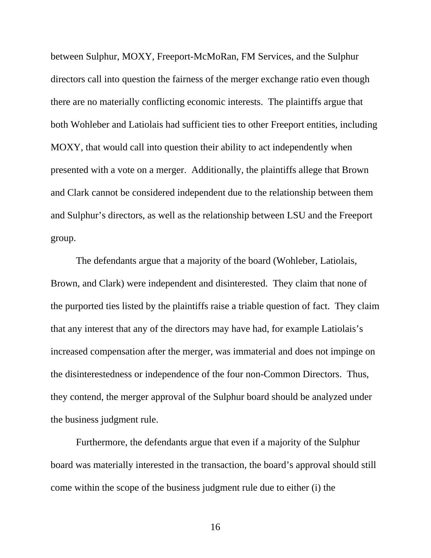between Sulphur, MOXY, Freeport-McMoRan, FM Services, and the Sulphur directors call into question the fairness of the merger exchange ratio even though there are no materially conflicting economic interests. The plaintiffs argue that both Wohleber and Latiolais had sufficient ties to other Freeport entities, including MOXY, that would call into question their ability to act independently when presented with a vote on a merger. Additionally, the plaintiffs allege that Brown and Clark cannot be considered independent due to the relationship between them and Sulphur's directors, as well as the relationship between LSU and the Freeport group.

The defendants argue that a majority of the board (Wohleber, Latiolais, Brown, and Clark) were independent and disinterested. They claim that none of the purported ties listed by the plaintiffs raise a triable question of fact. They claim that any interest that any of the directors may have had, for example Latiolais's increased compensation after the merger, was immaterial and does not impinge on the disinterestedness or independence of the four non-Common Directors. Thus, they contend, the merger approval of the Sulphur board should be analyzed under the business judgment rule.

Furthermore, the defendants argue that even if a majority of the Sulphur board was materially interested in the transaction, the board's approval should still come within the scope of the business judgment rule due to either (i) the

16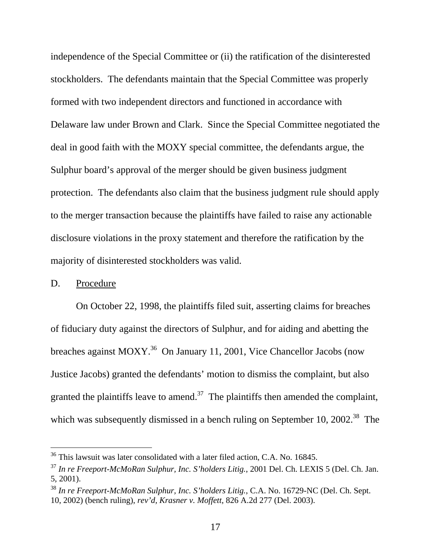independence of the Special Committee or (ii) the ratification of the disinterested stockholders. The defendants maintain that the Special Committee was properly formed with two independent directors and functioned in accordance with Delaware law under Brown and Clark. Since the Special Committee negotiated the deal in good faith with the MOXY special committee, the defendants argue, the Sulphur board's approval of the merger should be given business judgment protection. The defendants also claim that the business judgment rule should apply to the merger transaction because the plaintiffs have failed to raise any actionable disclosure violations in the proxy statement and therefore the ratification by the majority of disinterested stockholders was valid.

## D. Procedure

-

On October 22, 1998, the plaintiffs filed suit, asserting claims for breaches of fiduciary duty against the directors of Sulphur, and for aiding and abetting the breaches against MOXY.<sup>36</sup> On January 11, 2001, Vice Chancellor Jacobs (now Justice Jacobs) granted the defendants' motion to dismiss the complaint, but also granted the plaintiffs leave to amend.<sup>37</sup> The plaintiffs then amended the complaint, which was subsequently dismissed in a bench ruling on September 10, 2002.<sup>38</sup> The

 $36$  This lawsuit was later consolidated with a later filed action, C.A. No. 16845.

<sup>37</sup> *In re Freeport-McMoRan Sulphur, Inc. S'holders Litig.*, 2001 Del. Ch. LEXIS 5 (Del. Ch. Jan. 5, 2001).

<sup>38</sup> *In re Freeport-McMoRan Sulphur, Inc. S'holders Litig.*, C.A. No. 16729-NC (Del. Ch. Sept. 10, 2002) (bench ruling), *rev'd, Krasner v. Moffett*, 826 A.2d 277 (Del. 2003).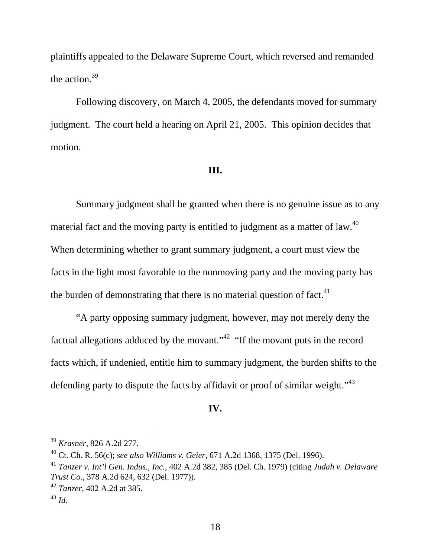plaintiffs appealed to the Delaware Supreme Court, which reversed and remanded the action.<sup>39</sup>

Following discovery, on March 4, 2005, the defendants moved for summary judgment. The court held a hearing on April 21, 2005. This opinion decides that motion.

#### **III.**

Summary judgment shall be granted when there is no genuine issue as to any material fact and the moving party is entitled to judgment as a matter of law.<sup>40</sup> When determining whether to grant summary judgment, a court must view the facts in the light most favorable to the nonmoving party and the moving party has the burden of demonstrating that there is no material question of fact. $41$ 

"A party opposing summary judgment, however, may not merely deny the factual allegations adduced by the movant."<sup>42</sup> "If the movant puts in the record facts which, if undenied, entitle him to summary judgment, the burden shifts to the defending party to dispute the facts by affidavit or proof of similar weight."<sup>43</sup>

### **IV.**

<sup>39</sup> *Krasner*, 826 A.2d 277.

<sup>40</sup> Ct. Ch. R. 56(c); *see also Williams v. Geier*, 671 A.2d 1368, 1375 (Del. 1996).

<sup>41</sup> *Tanzer v. Int'l Gen. Indus., Inc.*, 402 A.2d 382, 385 (Del. Ch. 1979) (citing *Judah v. Delaware Trust Co.*, 378 A.2d 624, 632 (Del. 1977)).

<sup>42</sup> *Tanzer*, 402 A.2d at 385*.*

<sup>43</sup> *Id.*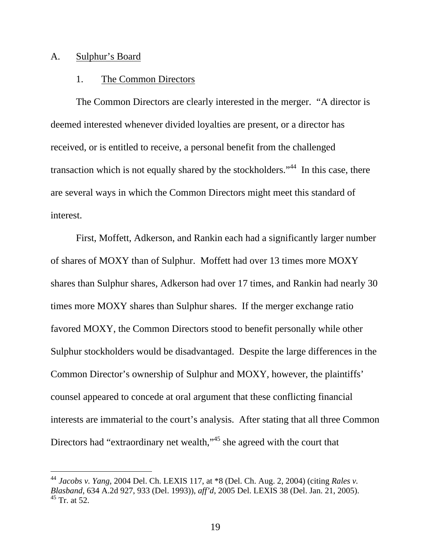#### A. Sulphur's Board

 $\overline{a}$ 

### 1. The Common Directors

The Common Directors are clearly interested in the merger. "A director is deemed interested whenever divided loyalties are present, or a director has received, or is entitled to receive, a personal benefit from the challenged transaction which is not equally shared by the stockholders."<sup>44</sup> In this case, there are several ways in which the Common Directors might meet this standard of interest.

First, Moffett, Adkerson, and Rankin each had a significantly larger number of shares of MOXY than of Sulphur. Moffett had over 13 times more MOXY shares than Sulphur shares, Adkerson had over 17 times, and Rankin had nearly 30 times more MOXY shares than Sulphur shares. If the merger exchange ratio favored MOXY, the Common Directors stood to benefit personally while other Sulphur stockholders would be disadvantaged. Despite the large differences in the Common Director's ownership of Sulphur and MOXY, however, the plaintiffs' counsel appeared to concede at oral argument that these conflicting financial interests are immaterial to the court's analysis. After stating that all three Common Directors had "extraordinary net wealth,"<sup>45</sup> she agreed with the court that

<sup>44</sup> *Jacobs v. Yang*, 2004 Del. Ch. LEXIS 117, at \*8 (Del. Ch. Aug. 2, 2004) (citing *Rales v. Blasband*, 634 A.2d 927, 933 (Del. 1993)), *aff'd*, 2005 Del. LEXIS 38 (Del. Jan. 21, 2005).  $45$  Tr. at 52.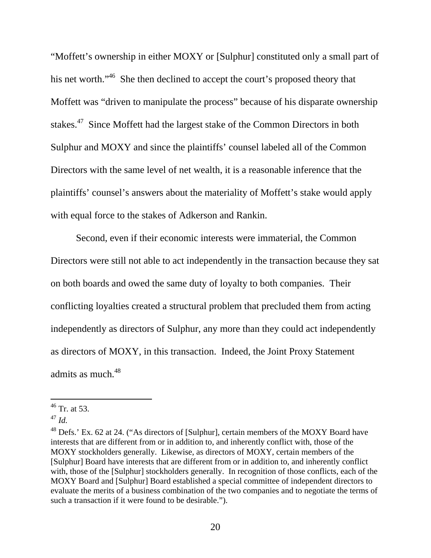"Moffett's ownership in either MOXY or [Sulphur] constituted only a small part of his net worth."<sup>46</sup> She then declined to accept the court's proposed theory that Moffett was "driven to manipulate the process" because of his disparate ownership stakes.47 Since Moffett had the largest stake of the Common Directors in both Sulphur and MOXY and since the plaintiffs' counsel labeled all of the Common Directors with the same level of net wealth, it is a reasonable inference that the plaintiffs' counsel's answers about the materiality of Moffett's stake would apply with equal force to the stakes of Adkerson and Rankin.

Second, even if their economic interests were immaterial, the Common Directors were still not able to act independently in the transaction because they sat on both boards and owed the same duty of loyalty to both companies. Their conflicting loyalties created a structural problem that precluded them from acting independently as directors of Sulphur, any more than they could act independently as directors of MOXY, in this transaction. Indeed, the Joint Proxy Statement admits as much.<sup>48</sup>

 $46$  Tr. at 53.

<sup>47</sup> *Id.*

 $^{48}$  Defs.' Ex. 62 at 24. ("As directors of [Sulphur], certain members of the MOXY Board have interests that are different from or in addition to, and inherently conflict with, those of the MOXY stockholders generally. Likewise, as directors of MOXY, certain members of the [Sulphur] Board have interests that are different from or in addition to, and inherently conflict with, those of the [Sulphur] stockholders generally. In recognition of those conflicts, each of the MOXY Board and [Sulphur] Board established a special committee of independent directors to evaluate the merits of a business combination of the two companies and to negotiate the terms of such a transaction if it were found to be desirable.").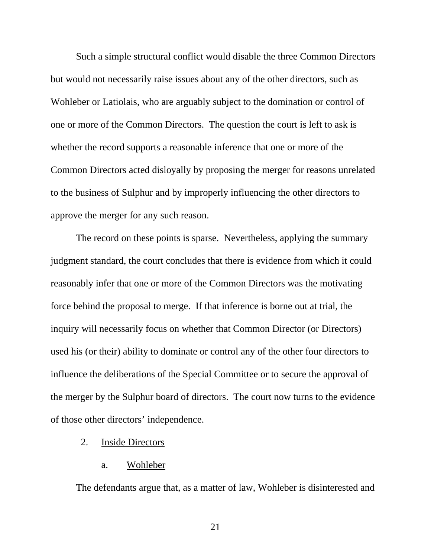Such a simple structural conflict would disable the three Common Directors but would not necessarily raise issues about any of the other directors, such as Wohleber or Latiolais, who are arguably subject to the domination or control of one or more of the Common Directors. The question the court is left to ask is whether the record supports a reasonable inference that one or more of the Common Directors acted disloyally by proposing the merger for reasons unrelated to the business of Sulphur and by improperly influencing the other directors to approve the merger for any such reason.

The record on these points is sparse. Nevertheless, applying the summary judgment standard, the court concludes that there is evidence from which it could reasonably infer that one or more of the Common Directors was the motivating force behind the proposal to merge. If that inference is borne out at trial, the inquiry will necessarily focus on whether that Common Director (or Directors) used his (or their) ability to dominate or control any of the other four directors to influence the deliberations of the Special Committee or to secure the approval of the merger by the Sulphur board of directors. The court now turns to the evidence of those other directors' independence.

## 2. Inside Directors

#### a. Wohleber

The defendants argue that, as a matter of law, Wohleber is disinterested and

21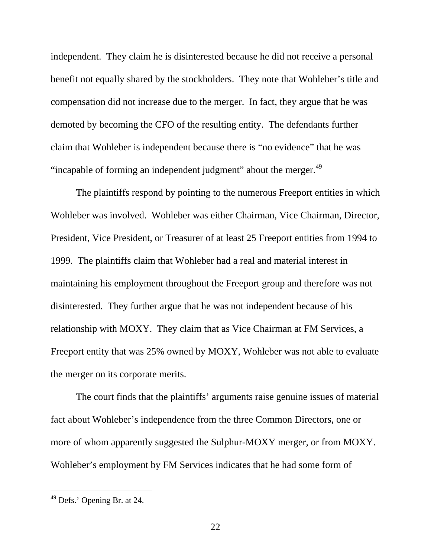independent. They claim he is disinterested because he did not receive a personal benefit not equally shared by the stockholders. They note that Wohleber's title and compensation did not increase due to the merger. In fact, they argue that he was demoted by becoming the CFO of the resulting entity. The defendants further claim that Wohleber is independent because there is "no evidence" that he was "incapable of forming an independent judgment" about the merger.<sup>49</sup>

The plaintiffs respond by pointing to the numerous Freeport entities in which Wohleber was involved. Wohleber was either Chairman, Vice Chairman, Director, President, Vice President, or Treasurer of at least 25 Freeport entities from 1994 to 1999. The plaintiffs claim that Wohleber had a real and material interest in maintaining his employment throughout the Freeport group and therefore was not disinterested. They further argue that he was not independent because of his relationship with MOXY. They claim that as Vice Chairman at FM Services, a Freeport entity that was 25% owned by MOXY, Wohleber was not able to evaluate the merger on its corporate merits.

The court finds that the plaintiffs' arguments raise genuine issues of material fact about Wohleber's independence from the three Common Directors, one or more of whom apparently suggested the Sulphur-MOXY merger, or from MOXY. Wohleber's employment by FM Services indicates that he had some form of

 $49$  Defs.' Opening Br. at 24.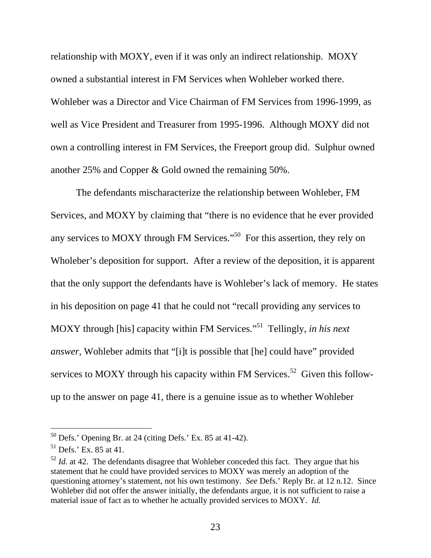relationship with MOXY, even if it was only an indirect relationship. MOXY owned a substantial interest in FM Services when Wohleber worked there. Wohleber was a Director and Vice Chairman of FM Services from 1996-1999, as well as Vice President and Treasurer from 1995-1996. Although MOXY did not own a controlling interest in FM Services, the Freeport group did. Sulphur owned another 25% and Copper & Gold owned the remaining 50%.

The defendants mischaracterize the relationship between Wohleber, FM Services, and MOXY by claiming that "there is no evidence that he ever provided any services to MOXY through FM Services."<sup>50</sup> For this assertion, they rely on Wholeber's deposition for support. After a review of the deposition, it is apparent that the only support the defendants have is Wohleber's lack of memory. He states in his deposition on page 41 that he could not "recall providing any services to MOXY through [his] capacity within FM Services."<sup>51</sup> Tellingly, *in his next answer*, Wohleber admits that "[i]t is possible that [he] could have" provided services to MOXY through his capacity within FM Services.<sup>52</sup> Given this followup to the answer on page 41, there is a genuine issue as to whether Wohleber

 $50$  Defs.' Opening Br. at 24 (citing Defs.' Ex. 85 at 41-42).

 $51$  Defs.' Ex. 85 at 41.

 $52$  *Id.* at 42. The defendants disagree that Wohleber conceded this fact. They argue that his statement that he could have provided services to MOXY was merely an adoption of the questioning attorney's statement, not his own testimony. *See* Defs.' Reply Br. at 12 n.12. Since Wohleber did not offer the answer initially, the defendants argue, it is not sufficient to raise a material issue of fact as to whether he actually provided services to MOXY. *Id.*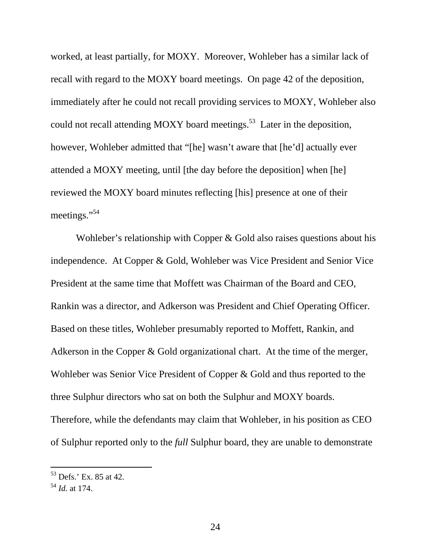worked, at least partially, for MOXY. Moreover, Wohleber has a similar lack of recall with regard to the MOXY board meetings. On page 42 of the deposition, immediately after he could not recall providing services to MOXY, Wohleber also could not recall attending MOXY board meetings.<sup>53</sup> Later in the deposition, however, Wohleber admitted that "[he] wasn't aware that [he'd] actually ever attended a MOXY meeting, until [the day before the deposition] when [he] reviewed the MOXY board minutes reflecting [his] presence at one of their meetings."<sup>54</sup>

Wohleber's relationship with Copper & Gold also raises questions about his independence. At Copper & Gold, Wohleber was Vice President and Senior Vice President at the same time that Moffett was Chairman of the Board and CEO, Rankin was a director, and Adkerson was President and Chief Operating Officer. Based on these titles, Wohleber presumably reported to Moffett, Rankin, and Adkerson in the Copper & Gold organizational chart. At the time of the merger, Wohleber was Senior Vice President of Copper & Gold and thus reported to the three Sulphur directors who sat on both the Sulphur and MOXY boards. Therefore, while the defendants may claim that Wohleber, in his position as CEO of Sulphur reported only to the *full* Sulphur board, they are unable to demonstrate

<sup>53</sup> Defs.' Ex. 85 at 42.

<sup>54</sup> *Id.* at 174.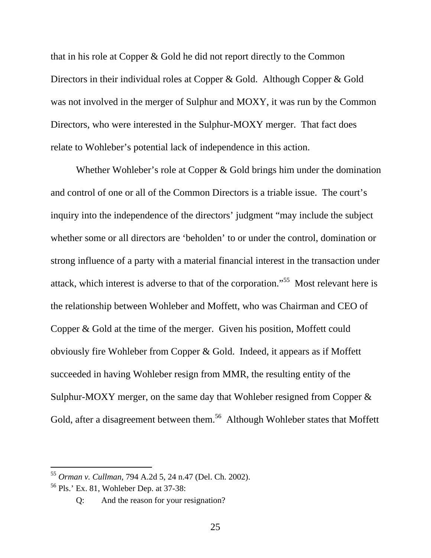that in his role at Copper & Gold he did not report directly to the Common Directors in their individual roles at Copper & Gold. Although Copper & Gold was not involved in the merger of Sulphur and MOXY, it was run by the Common Directors, who were interested in the Sulphur-MOXY merger. That fact does relate to Wohleber's potential lack of independence in this action.

Whether Wohleber's role at Copper & Gold brings him under the domination and control of one or all of the Common Directors is a triable issue. The court's inquiry into the independence of the directors' judgment "may include the subject whether some or all directors are 'beholden' to or under the control, domination or strong influence of a party with a material financial interest in the transaction under attack, which interest is adverse to that of the corporation."55 Most relevant here is the relationship between Wohleber and Moffett, who was Chairman and CEO of Copper & Gold at the time of the merger. Given his position, Moffett could obviously fire Wohleber from Copper & Gold. Indeed, it appears as if Moffett succeeded in having Wohleber resign from MMR, the resulting entity of the Sulphur-MOXY merger, on the same day that Wohleber resigned from Copper & Gold, after a disagreement between them.<sup>56</sup> Although Wohleber states that Moffett

<sup>55</sup> *Orman v. Cullman*, 794 A.2d 5, 24 n.47 (Del. Ch. 2002).

<sup>56</sup> Pls.' Ex. 81, Wohleber Dep. at 37-38:

Q: And the reason for your resignation?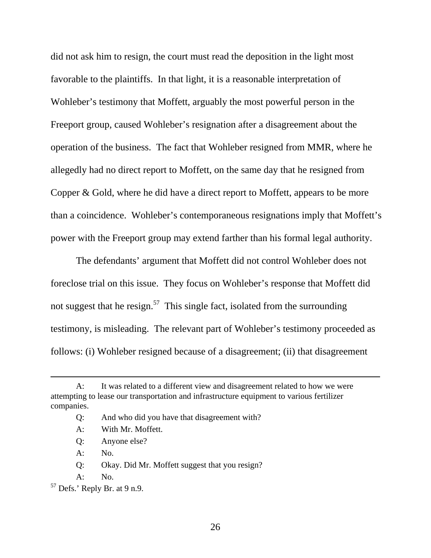did not ask him to resign, the court must read the deposition in the light most favorable to the plaintiffs. In that light, it is a reasonable interpretation of Wohleber's testimony that Moffett, arguably the most powerful person in the Freeport group, caused Wohleber's resignation after a disagreement about the operation of the business. The fact that Wohleber resigned from MMR, where he allegedly had no direct report to Moffett, on the same day that he resigned from Copper & Gold, where he did have a direct report to Moffett, appears to be more than a coincidence. Wohleber's contemporaneous resignations imply that Moffett's power with the Freeport group may extend farther than his formal legal authority.

The defendants' argument that Moffett did not control Wohleber does not foreclose trial on this issue. They focus on Wohleber's response that Moffett did not suggest that he resign.<sup>57</sup> This single fact, isolated from the surrounding testimony, is misleading. The relevant part of Wohleber's testimony proceeded as follows: (i) Wohleber resigned because of a disagreement; (ii) that disagreement

A: No.

-

A: No.

A: It was related to a different view and disagreement related to how we were attempting to lease our transportation and infrastructure equipment to various fertilizer companies.

Q: And who did you have that disagreement with?

A: With Mr. Moffett.

Q: Anyone else?

Q: Okay. Did Mr. Moffett suggest that you resign?

 $57$  Defs.' Reply Br. at 9 n.9.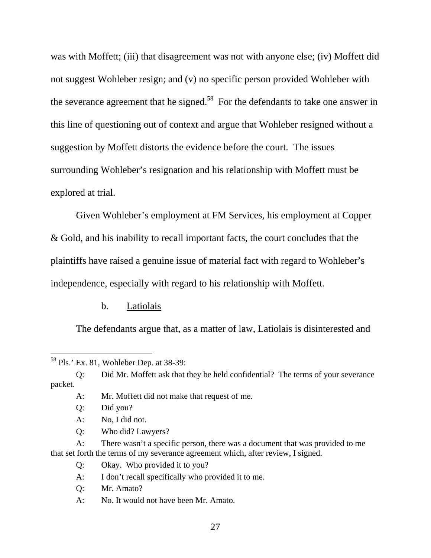was with Moffett; (iii) that disagreement was not with anyone else; (iv) Moffett did not suggest Wohleber resign; and (v) no specific person provided Wohleber with the severance agreement that he signed.<sup>58</sup> For the defendants to take one answer in this line of questioning out of context and argue that Wohleber resigned without a suggestion by Moffett distorts the evidence before the court. The issues surrounding Wohleber's resignation and his relationship with Moffett must be explored at trial.

Given Wohleber's employment at FM Services, his employment at Copper & Gold, and his inability to recall important facts, the court concludes that the plaintiffs have raised a genuine issue of material fact with regard to Wohleber's independence, especially with regard to his relationship with Moffett.

## b. Latiolais

The defendants argue that, as a matter of law, Latiolais is disinterested and

-

Q: Who did? Lawyers?

 A: There wasn't a specific person, there was a document that was provided to me that set forth the terms of my severance agreement which, after review, I signed.

- Q: Okay. Who provided it to you?
- A: I don't recall specifically who provided it to me.
- Q: Mr. Amato?
- A: No. It would not have been Mr. Amato.

<sup>58</sup> Pls.' Ex. 81, Wohleber Dep. at 38-39:

Q: Did Mr. Moffett ask that they be held confidential? The terms of your severance packet.

A: Mr. Moffett did not make that request of me.

Q: Did you?

A: No, I did not.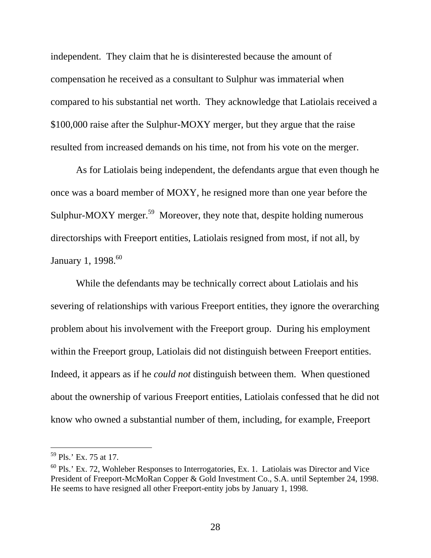independent. They claim that he is disinterested because the amount of compensation he received as a consultant to Sulphur was immaterial when compared to his substantial net worth. They acknowledge that Latiolais received a \$100,000 raise after the Sulphur-MOXY merger, but they argue that the raise resulted from increased demands on his time, not from his vote on the merger.

As for Latiolais being independent, the defendants argue that even though he once was a board member of MOXY, he resigned more than one year before the Sulphur-MOXY merger.<sup>59</sup> Moreover, they note that, despite holding numerous directorships with Freeport entities, Latiolais resigned from most, if not all, by January 1, 1998.<sup>60</sup>

While the defendants may be technically correct about Latiolais and his severing of relationships with various Freeport entities, they ignore the overarching problem about his involvement with the Freeport group. During his employment within the Freeport group, Latiolais did not distinguish between Freeport entities. Indeed, it appears as if he *could not* distinguish between them. When questioned about the ownership of various Freeport entities, Latiolais confessed that he did not know who owned a substantial number of them, including, for example, Freeport

<sup>59</sup> Pls.' Ex. 75 at 17.

 $60$  Pls.' Ex. 72, Wohleber Responses to Interrogatories, Ex. 1. Latiolais was Director and Vice President of Freeport-McMoRan Copper & Gold Investment Co., S.A. until September 24, 1998. He seems to have resigned all other Freeport-entity jobs by January 1, 1998.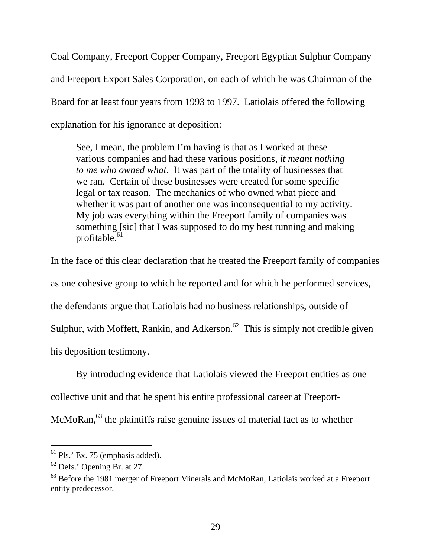Coal Company, Freeport Copper Company, Freeport Egyptian Sulphur Company and Freeport Export Sales Corporation, on each of which he was Chairman of the Board for at least four years from 1993 to 1997. Latiolais offered the following explanation for his ignorance at deposition:

See, I mean, the problem I'm having is that as I worked at these various companies and had these various positions, *it meant nothing to me who owned what*. It was part of the totality of businesses that we ran. Certain of these businesses were created for some specific legal or tax reason. The mechanics of who owned what piece and whether it was part of another one was inconsequential to my activity. My job was everything within the Freeport family of companies was something [sic] that I was supposed to do my best running and making profitable.<sup>61</sup>

In the face of this clear declaration that he treated the Freeport family of companies as one cohesive group to which he reported and for which he performed services, the defendants argue that Latiolais had no business relationships, outside of Sulphur, with Moffett, Rankin, and Adkerson.<sup>62</sup> This is simply not credible given his deposition testimony.

By introducing evidence that Latiolais viewed the Freeport entities as one

collective unit and that he spent his entire professional career at Freeport-

McMoRan,<sup>63</sup> the plaintiffs raise genuine issues of material fact as to whether

 $<sup>61</sup>$  Pls.' Ex. 75 (emphasis added).</sup>

<sup>62</sup> Defs.' Opening Br. at 27.

<sup>&</sup>lt;sup>63</sup> Before the 1981 merger of Freeport Minerals and McMoRan, Latiolais worked at a Freeport entity predecessor.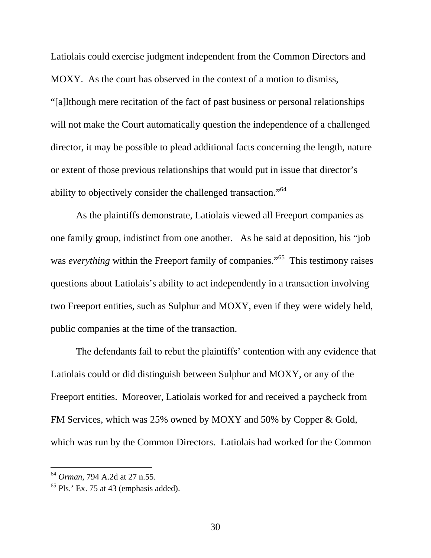Latiolais could exercise judgment independent from the Common Directors and MOXY. As the court has observed in the context of a motion to dismiss, "[a]lthough mere recitation of the fact of past business or personal relationships will not make the Court automatically question the independence of a challenged director, it may be possible to plead additional facts concerning the length, nature or extent of those previous relationships that would put in issue that director's ability to objectively consider the challenged transaction."64

As the plaintiffs demonstrate, Latiolais viewed all Freeport companies as one family group, indistinct from one another. As he said at deposition, his "job was *everything* within the Freeport family of companies."<sup>65</sup> This testimony raises questions about Latiolais's ability to act independently in a transaction involving two Freeport entities, such as Sulphur and MOXY, even if they were widely held, public companies at the time of the transaction.

The defendants fail to rebut the plaintiffs' contention with any evidence that Latiolais could or did distinguish between Sulphur and MOXY, or any of the Freeport entities. Moreover, Latiolais worked for and received a paycheck from FM Services, which was 25% owned by MOXY and 50% by Copper & Gold, which was run by the Common Directors. Latiolais had worked for the Common

<sup>64</sup> *Orman*, 794 A.2d at 27 n.55.

 $65$  Pls.' Ex. 75 at 43 (emphasis added).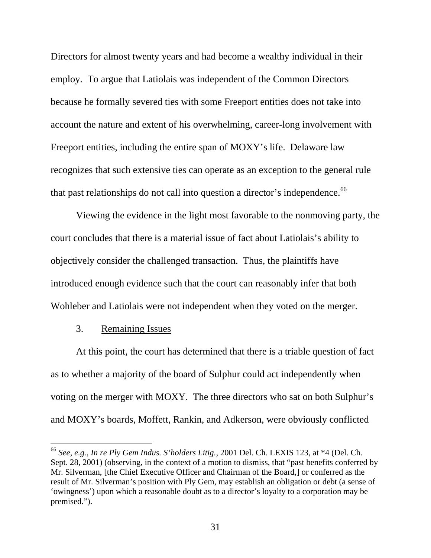Directors for almost twenty years and had become a wealthy individual in their employ. To argue that Latiolais was independent of the Common Directors because he formally severed ties with some Freeport entities does not take into account the nature and extent of his overwhelming, career-long involvement with Freeport entities, including the entire span of MOXY's life. Delaware law recognizes that such extensive ties can operate as an exception to the general rule that past relationships do not call into question a director's independence.<sup>66</sup>

Viewing the evidence in the light most favorable to the nonmoving party, the court concludes that there is a material issue of fact about Latiolais's ability to objectively consider the challenged transaction. Thus, the plaintiffs have introduced enough evidence such that the court can reasonably infer that both Wohleber and Latiolais were not independent when they voted on the merger.

### 3. Remaining Issues

 $\overline{a}$ 

At this point, the court has determined that there is a triable question of fact as to whether a majority of the board of Sulphur could act independently when voting on the merger with MOXY. The three directors who sat on both Sulphur's and MOXY's boards, Moffett, Rankin, and Adkerson, were obviously conflicted

<sup>66</sup> *See, e.g., In re Ply Gem Indus. S'holders Litig.*, 2001 Del. Ch. LEXIS 123, at \*4 (Del. Ch. Sept. 28, 2001) (observing, in the context of a motion to dismiss, that "past benefits conferred by Mr. Silverman, [the Chief Executive Officer and Chairman of the Board,] or conferred as the result of Mr. Silverman's position with Ply Gem, may establish an obligation or debt (a sense of 'owingness') upon which a reasonable doubt as to a director's loyalty to a corporation may be premised.").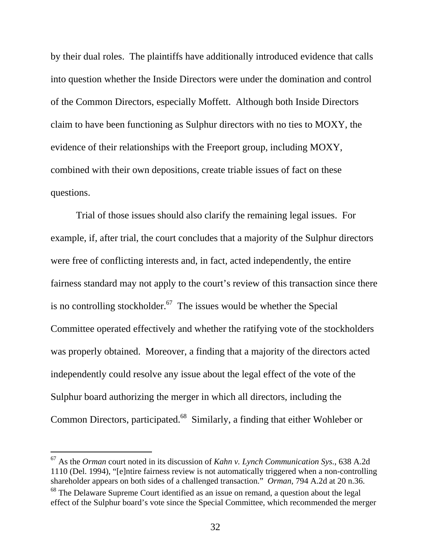by their dual roles. The plaintiffs have additionally introduced evidence that calls into question whether the Inside Directors were under the domination and control of the Common Directors, especially Moffett. Although both Inside Directors claim to have been functioning as Sulphur directors with no ties to MOXY, the evidence of their relationships with the Freeport group, including MOXY, combined with their own depositions, create triable issues of fact on these questions.

Trial of those issues should also clarify the remaining legal issues. For example, if, after trial, the court concludes that a majority of the Sulphur directors were free of conflicting interests and, in fact, acted independently, the entire fairness standard may not apply to the court's review of this transaction since there is no controlling stockholder.<sup>67</sup> The issues would be whether the Special Committee operated effectively and whether the ratifying vote of the stockholders was properly obtained. Moreover, a finding that a majority of the directors acted independently could resolve any issue about the legal effect of the vote of the Sulphur board authorizing the merger in which all directors, including the Common Directors, participated.<sup>68</sup> Similarly, a finding that either Wohleber or

<sup>67</sup> As the *Orman* court noted in its discussion of *Kahn v. Lynch Communication Sys.*, 638 A.2d 1110 (Del. 1994), "[e]ntire fairness review is not automatically triggered when a non-controlling shareholder appears on both sides of a challenged transaction." *Orman*, 794 A.2d at 20 n.36.  $68$  The Delaware Supreme Court identified as an issue on remand, a question about the legal

effect of the Sulphur board's vote since the Special Committee, which recommended the merger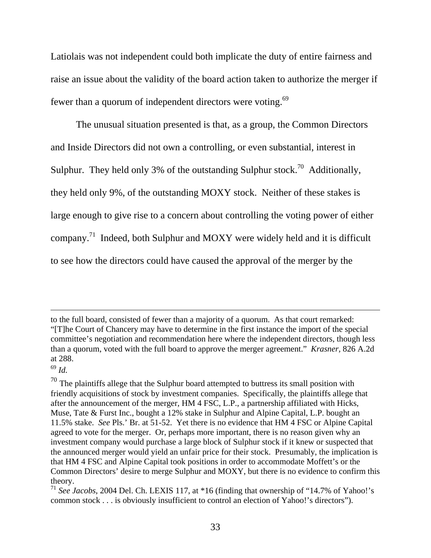Latiolais was not independent could both implicate the duty of entire fairness and raise an issue about the validity of the board action taken to authorize the merger if fewer than a quorum of independent directors were voting.<sup>69</sup>

The unusual situation presented is that, as a group, the Common Directors and Inside Directors did not own a controlling, or even substantial, interest in Sulphur. They held only 3% of the outstanding Sulphur stock.<sup>70</sup> Additionally, they held only 9%, of the outstanding MOXY stock. Neither of these stakes is large enough to give rise to a concern about controlling the voting power of either company.71 Indeed, both Sulphur and MOXY were widely held and it is difficult to see how the directors could have caused the approval of the merger by the

<sup>69</sup> *Id.*

to the full board, consisted of fewer than a majority of a quorum. As that court remarked: "[T]he Court of Chancery may have to determine in the first instance the import of the special committee's negotiation and recommendation here where the independent directors, though less than a quorum, voted with the full board to approve the merger agreement." *Krasner,* 826 A.2d at 288.

 $70$  The plaintiffs allege that the Sulphur board attempted to buttress its small position with friendly acquisitions of stock by investment companies. Specifically, the plaintiffs allege that after the announcement of the merger, HM 4 FSC, L.P., a partnership affiliated with Hicks, Muse, Tate & Furst Inc., bought a 12% stake in Sulphur and Alpine Capital, L.P. bought an 11.5% stake. *See* Pls.' Br. at 51-52. Yet there is no evidence that HM 4 FSC or Alpine Capital agreed to vote for the merger. Or, perhaps more important, there is no reason given why an investment company would purchase a large block of Sulphur stock if it knew or suspected that the announced merger would yield an unfair price for their stock. Presumably, the implication is that HM 4 FSC and Alpine Capital took positions in order to accommodate Moffett's or the Common Directors' desire to merge Sulphur and MOXY, but there is no evidence to confirm this theory.

<sup>71</sup> *See Jacobs*, 2004 Del. Ch. LEXIS 117, at \*16 (finding that ownership of "14.7% of Yahoo!'s common stock . . . is obviously insufficient to control an election of Yahoo!'s directors").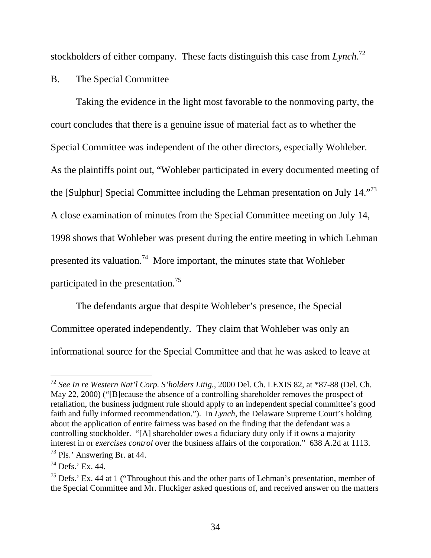stockholders of either company. These facts distinguish this case from *Lynch*. 72

## B. The Special Committee

Taking the evidence in the light most favorable to the nonmoving party, the court concludes that there is a genuine issue of material fact as to whether the Special Committee was independent of the other directors, especially Wohleber. As the plaintiffs point out, "Wohleber participated in every documented meeting of the [Sulphur] Special Committee including the Lehman presentation on July 14."<sup>73</sup> A close examination of minutes from the Special Committee meeting on July 14, 1998 shows that Wohleber was present during the entire meeting in which Lehman presented its valuation.<sup>74</sup> More important, the minutes state that Wohleber participated in the presentation.75

The defendants argue that despite Wohleber's presence, the Special Committee operated independently. They claim that Wohleber was only an informational source for the Special Committee and that he was asked to leave at

<sup>72</sup> *See In re Western Nat'l Corp. S'holders Litig.*, 2000 Del. Ch. LEXIS 82, at \*87-88 (Del. Ch. May 22, 2000) ("[B]ecause the absence of a controlling shareholder removes the prospect of retaliation, the business judgment rule should apply to an independent special committee's good faith and fully informed recommendation."). In *Lynch*, the Delaware Supreme Court's holding about the application of entire fairness was based on the finding that the defendant was a controlling stockholder. "[A] shareholder owes a fiduciary duty only if it owns a majority interest in or *exercises control* over the business affairs of the corporation." 638 A.2d at 1113. 73 Pls.' Answering Br. at 44.

 $74$  Defs.' Ex. 44.

 $75$  Defs.' Ex. 44 at 1 ("Throughout this and the other parts of Lehman's presentation, member of the Special Committee and Mr. Fluckiger asked questions of, and received answer on the matters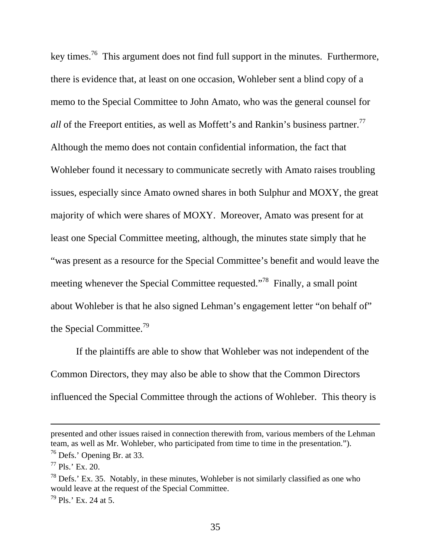key times.76 This argument does not find full support in the minutes. Furthermore, there is evidence that, at least on one occasion, Wohleber sent a blind copy of a memo to the Special Committee to John Amato, who was the general counsel for *all* of the Freeport entities, as well as Moffett's and Rankin's business partner.<sup>77</sup> Although the memo does not contain confidential information, the fact that Wohleber found it necessary to communicate secretly with Amato raises troubling issues, especially since Amato owned shares in both Sulphur and MOXY, the great majority of which were shares of MOXY. Moreover, Amato was present for at least one Special Committee meeting, although, the minutes state simply that he "was present as a resource for the Special Committee's benefit and would leave the meeting whenever the Special Committee requested."<sup>78</sup> Finally, a small point about Wohleber is that he also signed Lehman's engagement letter "on behalf of" the Special Committee.<sup>79</sup>

If the plaintiffs are able to show that Wohleber was not independent of the Common Directors, they may also be able to show that the Common Directors influenced the Special Committee through the actions of Wohleber. This theory is

presented and other issues raised in connection therewith from, various members of the Lehman team, as well as Mr. Wohleber, who participated from time to time in the presentation.").

 $76$  Defs.' Opening Br. at 33.

 $77$  Pls.' Ex. 20.

 $^{78}$  Defs.' Ex. 35. Notably, in these minutes, Wohleber is not similarly classified as one who would leave at the request of the Special Committee.

 $^{79}$  Pls.' Ex. 24 at 5.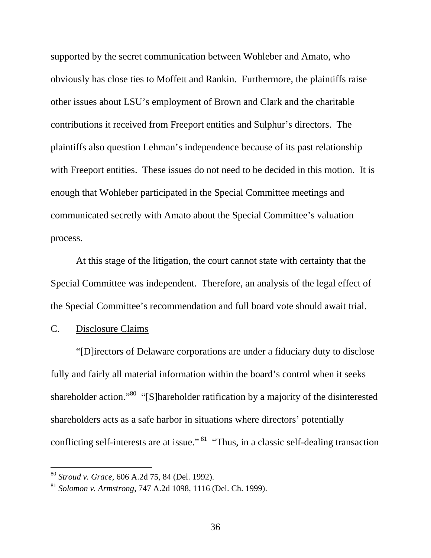supported by the secret communication between Wohleber and Amato, who obviously has close ties to Moffett and Rankin. Furthermore, the plaintiffs raise other issues about LSU's employment of Brown and Clark and the charitable contributions it received from Freeport entities and Sulphur's directors. The plaintiffs also question Lehman's independence because of its past relationship with Freeport entities. These issues do not need to be decided in this motion. It is enough that Wohleber participated in the Special Committee meetings and communicated secretly with Amato about the Special Committee's valuation process.

At this stage of the litigation, the court cannot state with certainty that the Special Committee was independent. Therefore, an analysis of the legal effect of the Special Committee's recommendation and full board vote should await trial.

## C. Disclosure Claims

-

"[D]irectors of Delaware corporations are under a fiduciary duty to disclose fully and fairly all material information within the board's control when it seeks shareholder action."<sup>80</sup> "[S]hareholder ratification by a majority of the disinterested shareholders acts as a safe harbor in situations where directors' potentially conflicting self-interests are at issue."<sup>81</sup> "Thus, in a classic self-dealing transaction

<sup>80</sup> *Stroud v. Grace*, 606 A.2d 75, 84 (Del. 1992).

<sup>81</sup> *Solomon v. Armstrong*, 747 A.2d 1098, 1116 (Del. Ch. 1999).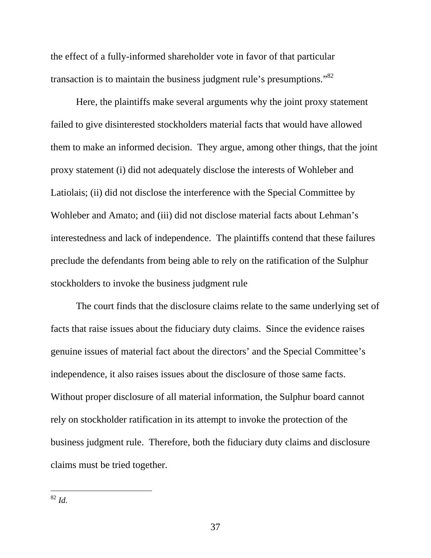the effect of a fully-informed shareholder vote in favor of that particular transaction is to maintain the business judgment rule's presumptions."<sup>82</sup>

Here, the plaintiffs make several arguments why the joint proxy statement failed to give disinterested stockholders material facts that would have allowed them to make an informed decision. They argue, among other things, that the joint proxy statement (i) did not adequately disclose the interests of Wohleber and Latiolais; (ii) did not disclose the interference with the Special Committee by Wohleber and Amato; and (iii) did not disclose material facts about Lehman's interestedness and lack of independence. The plaintiffs contend that these failures preclude the defendants from being able to rely on the ratification of the Sulphur stockholders to invoke the business judgment rule

The court finds that the disclosure claims relate to the same underlying set of facts that raise issues about the fiduciary duty claims. Since the evidence raises genuine issues of material fact about the directors' and the Special Committee's independence, it also raises issues about the disclosure of those same facts. Without proper disclosure of all material information, the Sulphur board cannot rely on stockholder ratification in its attempt to invoke the protection of the business judgment rule. Therefore, both the fiduciary duty claims and disclosure claims must be tried together.

<sup>82</sup> *Id.*